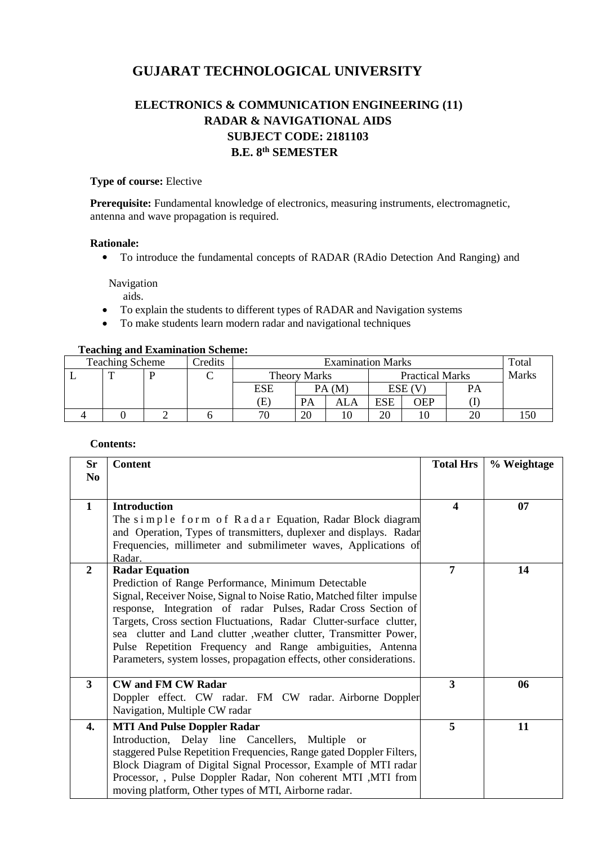# **GUJARAT TECHNOLOGICAL UNIVERSITY**

## **ELECTRONICS & COMMUNICATION ENGINEERING (11) RADAR & NAVIGATIONAL AIDS SUBJECT CODE: 2181103 B.E. 8th SEMESTER**

#### **Type of course:** Elective

**Prerequisite:** Fundamental knowledge of electronics, measuring instruments, electromagnetic, antenna and wave propagation is required.

#### **Rationale:**

To introduce the fundamental concepts of RADAR (RAdio Detection And Ranging) and

Navigation

aids.

- To explain the students to different types of RADAR and Navigation systems
- To make students learn modern radar and navigational techniques

#### **Teaching and Examination Scheme:**

| <b>Teaching Scheme</b> |  | Credits | <b>Examination Marks</b> |              |       |                        | Total      |       |        |  |
|------------------------|--|---------|--------------------------|--------------|-------|------------------------|------------|-------|--------|--|
|                        |  |         |                          | Theory Marks |       | <b>Practical Marks</b> |            | Marks |        |  |
|                        |  |         |                          | ESE          | PA(M) |                        | ESE (V     |       | PA     |  |
|                        |  |         |                          | E)           | PA    | ALA                    | <b>ESE</b> | OEP   |        |  |
|                        |  |         |                          | 70           | 20    |                        | 20         |       | $\sim$ |  |

#### **Contents:**

| <b>Sr</b>      | <b>Content</b>                                                                                                               | <b>Total Hrs</b>        | % Weightage |
|----------------|------------------------------------------------------------------------------------------------------------------------------|-------------------------|-------------|
| N <sub>0</sub> |                                                                                                                              |                         |             |
| $\mathbf{1}$   | <b>Introduction</b>                                                                                                          | $\overline{\mathbf{4}}$ | 07          |
|                | The simple form of Radar Equation, Radar Block diagram                                                                       |                         |             |
|                | and Operation, Types of transmitters, duplexer and displays. Radar                                                           |                         |             |
|                | Frequencies, millimeter and submilimeter waves, Applications of                                                              |                         |             |
|                | Radar.                                                                                                                       |                         |             |
| $\overline{2}$ | <b>Radar Equation</b>                                                                                                        | 7                       | 14          |
|                | Prediction of Range Performance, Minimum Detectable<br>Signal, Receiver Noise, Signal to Noise Ratio, Matched filter impulse |                         |             |
|                | response, Integration of radar Pulses, Radar Cross Section of                                                                |                         |             |
|                | Targets, Cross section Fluctuations, Radar Clutter-surface clutter,                                                          |                         |             |
|                | sea clutter and Land clutter , weather clutter, Transmitter Power,                                                           |                         |             |
|                | Pulse Repetition Frequency and Range ambiguities, Antenna                                                                    |                         |             |
|                | Parameters, system losses, propagation effects, other considerations.                                                        |                         |             |
| $\mathbf{3}$   | <b>CW and FM CW Radar</b>                                                                                                    | 3                       | 06          |
|                | Doppler effect. CW radar. FM CW radar. Airborne Doppler                                                                      |                         |             |
|                | Navigation, Multiple CW radar                                                                                                |                         |             |
| 4.             | <b>MTI And Pulse Doppler Radar</b>                                                                                           | 5                       | 11          |
|                | Introduction, Delay line Cancellers, Multiple<br><sub>or</sub>                                                               |                         |             |
|                | staggered Pulse Repetition Frequencies, Range gated Doppler Filters,                                                         |                         |             |
|                | Block Diagram of Digital Signal Processor, Example of MTI radar                                                              |                         |             |
|                | Processor, , Pulse Doppler Radar, Non coherent MTI , MTI from                                                                |                         |             |
|                | moving platform, Other types of MTI, Airborne radar.                                                                         |                         |             |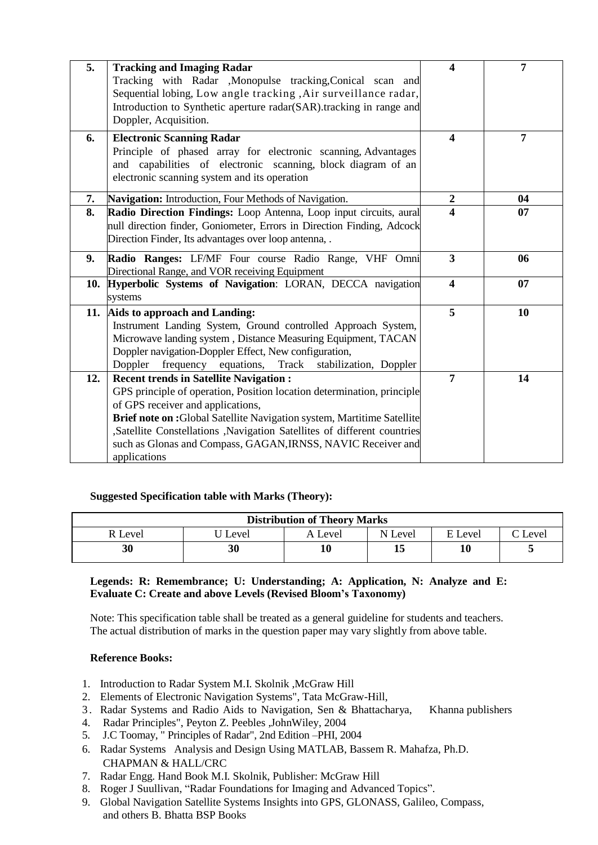| 5.  | <b>Tracking and Imaging Radar</b>                                                                                       | 4                       | 7  |
|-----|-------------------------------------------------------------------------------------------------------------------------|-------------------------|----|
|     | Tracking with Radar , Monopulse tracking, Conical scan and                                                              |                         |    |
|     | Sequential lobing, Low angle tracking, Air surveillance radar,                                                          |                         |    |
|     | Introduction to Synthetic aperture radar(SAR).tracking in range and                                                     |                         |    |
|     | Doppler, Acquisition.                                                                                                   |                         |    |
| 6.  | <b>Electronic Scanning Radar</b>                                                                                        | $\boldsymbol{4}$        | 7  |
|     | Principle of phased array for electronic scanning, Advantages                                                           |                         |    |
|     | and capabilities of electronic scanning, block diagram of an                                                            |                         |    |
|     | electronic scanning system and its operation                                                                            |                         |    |
| 7.  | Navigation: Introduction, Four Methods of Navigation.                                                                   | $\boldsymbol{2}$        | 04 |
| 8.  | Radio Direction Findings: Loop Antenna, Loop input circuits, aural                                                      | 4                       | 07 |
|     | null direction finder, Goniometer, Errors in Direction Finding, Adcock                                                  |                         |    |
|     | Direction Finder, Its advantages over loop antenna,                                                                     |                         |    |
| 9.  | Radio Ranges: LF/MF Four course Radio Range, VHF Omni                                                                   | $\overline{\mathbf{3}}$ | 06 |
|     | Directional Range, and VOR receiving Equipment                                                                          |                         |    |
|     | 10. Hyperbolic Systems of Navigation: LORAN, DECCA navigation                                                           | $\overline{\mathbf{4}}$ | 07 |
|     | systems                                                                                                                 |                         |    |
|     | 11. Aids to approach and Landing:                                                                                       | 5                       | 10 |
|     | Instrument Landing System, Ground controlled Approach System,                                                           |                         |    |
|     | Microwave landing system, Distance Measuring Equipment, TACAN                                                           |                         |    |
|     | Doppler navigation-Doppler Effect, New configuration,                                                                   |                         |    |
| 12. | frequency equations, Track<br>Doppler<br>stabilization, Doppler                                                         | $\overline{7}$          | 14 |
|     | <b>Recent trends in Satellite Navigation:</b><br>GPS principle of operation, Position location determination, principle |                         |    |
|     | of GPS receiver and applications,                                                                                       |                         |    |
|     | Brief note on :Global Satellite Navigation system, Martitime Satellite                                                  |                         |    |
|     | ,Satellite Constellations ,Navigation Satellites of different countries                                                 |                         |    |
|     | such as Glonas and Compass, GAGAN, IRNSS, NAVIC Receiver and                                                            |                         |    |
|     | applications                                                                                                            |                         |    |

## **Suggested Specification table with Marks (Theory):**

| <b>Distribution of Theory Marks</b> |       |         |         |         |                |  |  |
|-------------------------------------|-------|---------|---------|---------|----------------|--|--|
| R Level                             | Level | A Level | N Level | E Level | $\Gamma$ Level |  |  |
| 30                                  | 30    |         | 15      | 10      |                |  |  |

#### **Legends: R: Remembrance; U: Understanding; A: Application, N: Analyze and E: Evaluate C: Create and above Levels (Revised Bloom's Taxonomy)**

Note: This specification table shall be treated as a general guideline for students and teachers. The actual distribution of marks in the question paper may vary slightly from above table.

#### **Reference Books:**

- 1. Introduction to Radar System M.I. Skolnik ,McGraw Hill
- 2. Elements of Electronic Navigation Systems", Tata McGraw-Hill,
- 3 . Radar Systems and Radio Aids to Navigation, Sen & Bhattacharya, Khanna publishers
- 4. Radar Principles", Peyton Z. Peebles ,JohnWiley, 2004
- 5. J.C Toomay, " Principles of Radar", 2nd Edition –PHI, 2004
- 6. Radar Systems Analysis and Design Using MATLAB, Bassem R. Mahafza, Ph.D. CHAPMAN & HALL/CRC
- 7. Radar Engg. Hand Book M.I. Skolnik, Publisher: McGraw Hill
- 8. Roger J Suullivan, "Radar Foundations for Imaging and Advanced Topics".
- 9. Global Navigation Satellite Systems Insights into GPS, GLONASS, Galileo, Compass, and others B. Bhatta BSP Books